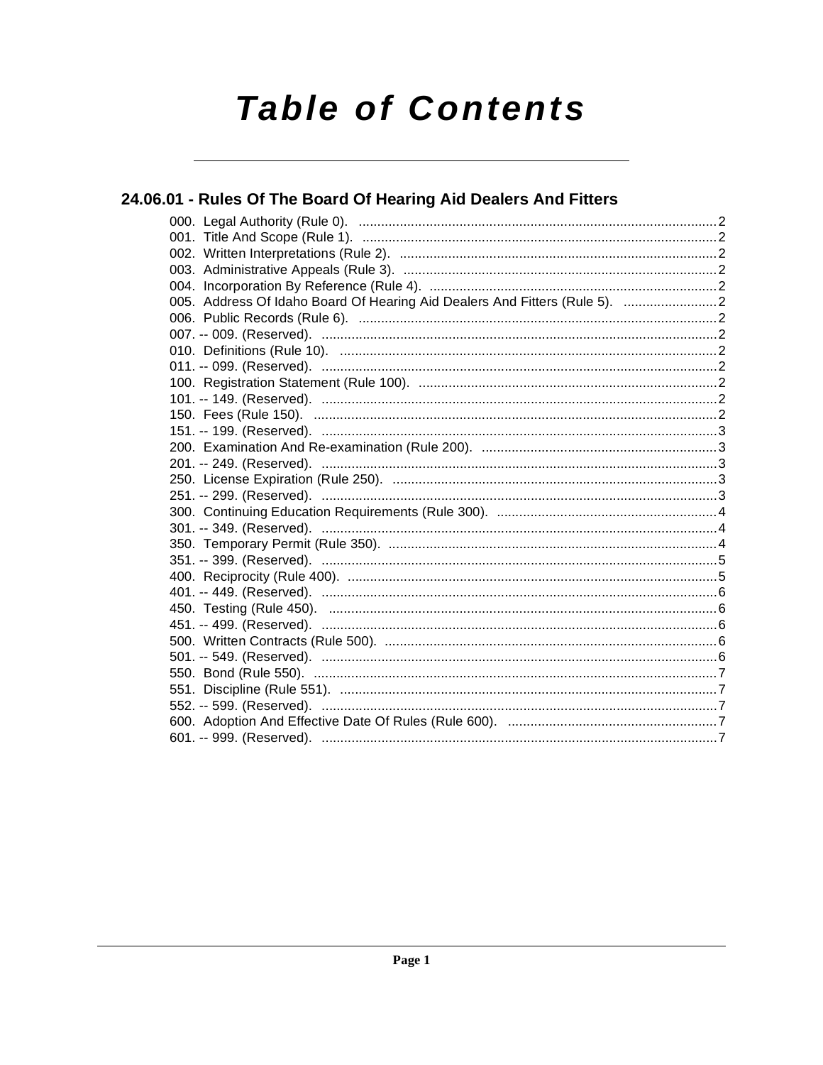# **Table of Contents**

### 24.06.01 - Rules Of The Board Of Hearing Aid Dealers And Fitters

| 005. Address Of Idaho Board Of Hearing Aid Dealers And Fitters (Rule 5).  2 |  |
|-----------------------------------------------------------------------------|--|
|                                                                             |  |
|                                                                             |  |
|                                                                             |  |
|                                                                             |  |
|                                                                             |  |
|                                                                             |  |
|                                                                             |  |
|                                                                             |  |
|                                                                             |  |
|                                                                             |  |
|                                                                             |  |
|                                                                             |  |
|                                                                             |  |
|                                                                             |  |
|                                                                             |  |
|                                                                             |  |
|                                                                             |  |
|                                                                             |  |
|                                                                             |  |
|                                                                             |  |
|                                                                             |  |
|                                                                             |  |
|                                                                             |  |
|                                                                             |  |
|                                                                             |  |
|                                                                             |  |
|                                                                             |  |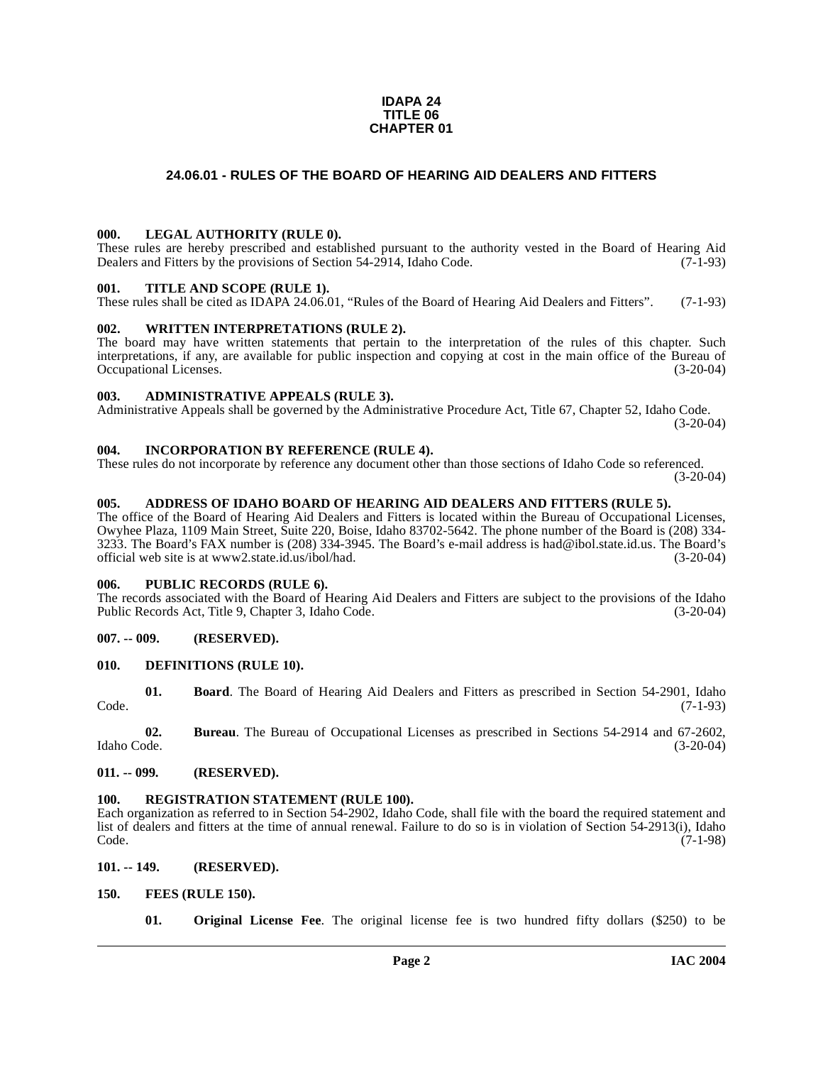#### **IDAPA 24 TITLE 06 CHAPTER 01**

#### **24.06.01 - RULES OF THE BOARD OF HEARING AID DEALERS AND FITTERS**

#### <span id="page-1-1"></span><span id="page-1-0"></span>**000. LEGAL AUTHORITY (RULE 0).**

These rules are hereby prescribed and established pursuant to the authority vested in the Board of Hearing Aid Dealers and Fitters by the provisions of Section 54-2914, Idaho Code. (7-1-93)

#### <span id="page-1-2"></span>**001. TITLE AND SCOPE (RULE 1).**

These rules shall be cited as IDAPA 24.06.01, "Rules of the Board of Hearing Aid Dealers and Fitters". (7-1-93)

#### <span id="page-1-3"></span>**002. WRITTEN INTERPRETATIONS (RULE 2).**

The board may have written statements that pertain to the interpretation of the rules of this chapter. Such interpretations, if any, are available for public inspection and copying at cost in the main office of the Bureau of Occupational Licenses. (3-20-04) Occupational Licenses.

#### <span id="page-1-4"></span>**003. ADMINISTRATIVE APPEALS (RULE 3).**

Administrative Appeals shall be governed by the Administrative Procedure Act, Title 67, Chapter 52, Idaho Code. (3-20-04)

#### <span id="page-1-5"></span>**004. INCORPORATION BY REFERENCE (RULE 4).**

These rules do not incorporate by reference any document other than those sections of Idaho Code so referenced. (3-20-04)

#### <span id="page-1-14"></span><span id="page-1-6"></span>**005. ADDRESS OF IDAHO BOARD OF HEARING AID DEALERS AND FITTERS (RULE 5).**

The office of the Board of Hearing Aid Dealers and Fitters is located within the Bureau of Occupational Licenses, Owyhee Plaza, 1109 Main Street, Suite 220, Boise, Idaho 83702-5642. [The phone number of the Board is \(208\) 334-](mailto:had@ibol.state.id.us) [3233. The Board's FAX number is \(208\) 334-3945. The Board's e-mail address is had@ibol.state.id.us. The Board's](mailto:had@ibol.state.id.us) [official web site is at](mailto:had@ibol.state.id.us) [www2.state.id.us/ibol/had.](http://www2.state.id.us/ibol/had) (3-20-04)

#### <span id="page-1-7"></span>**006. PUBLIC RECORDS (RULE 6).**

The records associated with the Board of Hearing Aid Dealers and Fitters are subject to the provisions of the Idaho<br>Public Records Act, Title 9, Chapter 3, Idaho Code. Public Records Act, Title 9, Chapter 3, Idaho Code.

#### <span id="page-1-8"></span>**007. -- 009. (RESERVED).**

#### <span id="page-1-15"></span><span id="page-1-9"></span>**010. DEFINITIONS (RULE 10).**

**01. Board**. The Board of Hearing Aid Dealers and Fitters as prescribed in Section 54-2901, Idaho Code. (7-1-93)

**02.** Bureau. The Bureau of Occupational Licenses as prescribed in Sections 54-2914 and 67-2602, Idaho Code. (3-20-04) Idaho Code. (3-20-04)

#### <span id="page-1-10"></span>**011. -- 099. (RESERVED).**

#### <span id="page-1-18"></span><span id="page-1-11"></span>**100. REGISTRATION STATEMENT (RULE 100).**

Each organization as referred to in Section 54-2902, Idaho Code, shall file with the board the required statement and list of dealers and fitters at the time of annual renewal. Failure to do so is in violation of Section 54-2913(i), Idaho Code. (7-1-98)

<span id="page-1-12"></span>**101. -- 149. (RESERVED).**

#### <span id="page-1-13"></span>**150. FEES (RULE 150).**

<span id="page-1-17"></span><span id="page-1-16"></span>**01. Original License Fee**. The original license fee is two hundred fifty dollars (\$250) to be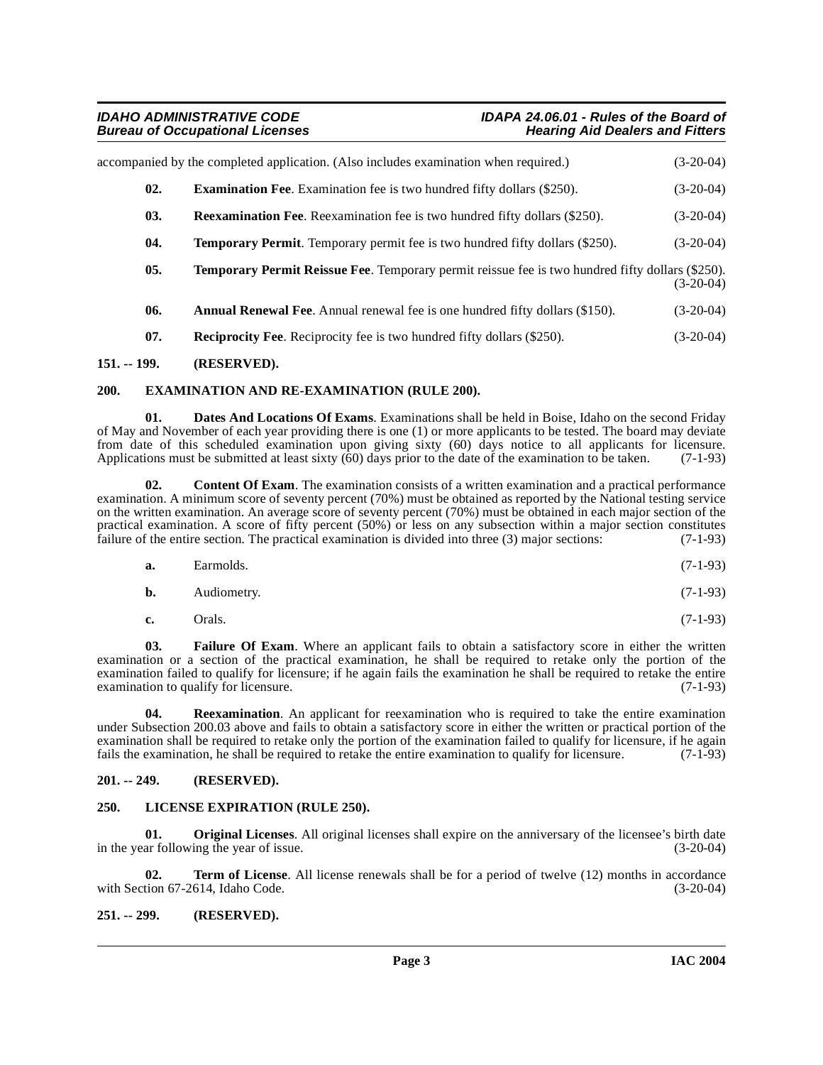### **Bureau of Occupational Licenses**

<span id="page-2-17"></span><span id="page-2-16"></span><span id="page-2-14"></span><span id="page-2-9"></span>

| accompanied by the completed application. (Also includes examination when required.)<br>$(3-20-04)$ |                                                                                                          |             |  |
|-----------------------------------------------------------------------------------------------------|----------------------------------------------------------------------------------------------------------|-------------|--|
| 02.                                                                                                 | <b>Examination Fee.</b> Examination fee is two hundred fifty dollars (\$250).                            | $(3-20-04)$ |  |
| 03.                                                                                                 | <b>Reexamination Fee.</b> Reexamination fee is two hundred fifty dollars (\$250).                        | $(3-20-04)$ |  |
| 04.                                                                                                 | <b>Temporary Permit.</b> Temporary permit fee is two hundred fifty dollars (\$250).                      | $(3-20-04)$ |  |
| 05.                                                                                                 | <b>Temporary Permit Reissue Fee</b> . Temporary permit reissue fee is two hundred fifty dollars (\$250). | $(3-20-04)$ |  |
| 06.                                                                                                 | <b>Annual Renewal Fee.</b> Annual renewal fee is one hundred fifty dollars (\$150).                      | $(3-20-04)$ |  |
| 07.                                                                                                 | <b>Reciprocity Fee.</b> Reciprocity fee is two hundred fifty dollars (\$250).                            | $(3-20-04)$ |  |
|                                                                                                     |                                                                                                          |             |  |

#### <span id="page-2-13"></span><span id="page-2-5"></span><span id="page-2-0"></span>**151. -- 199. (RESERVED).**

#### <span id="page-2-8"></span><span id="page-2-1"></span>**200. EXAMINATION AND RE-EXAMINATION (RULE 200).**

<span id="page-2-7"></span>**Dates And Locations Of Exams**. Examinations shall be held in Boise, Idaho on the second Friday of May and November of each year providing there is one (1) or more applicants to be tested. The board may deviate from date of this scheduled examination upon giving sixty (60) days notice to all applicants for licensure.<br>Applications must be submitted at least sixty (60) days prior to the date of the examination to be taken. (7-1-93) Applications must be submitted at least sixty  $(60)$  days prior to the date of the examination to be taken.

<span id="page-2-6"></span>**02. Content Of Exam**. The examination consists of a written examination and a practical performance examination. A minimum score of seventy percent (70%) must be obtained as reported by the National testing service on the written examination. An average score of seventy percent (70%) must be obtained in each major section of the practical examination. A score of fifty percent  $(50\%)$  or less on any subsection within a major section constitutes failure of the entire section. The practical examination is divided into three  $(3)$  major sections:  $(7$ failure of the entire section. The practical examination is divided into three  $(3)$  major sections:

| <b>b.</b> | Audiometry. |  | $(7-1-93)$ |  |
|-----------|-------------|--|------------|--|
|-----------|-------------|--|------------|--|

<span id="page-2-15"></span><span id="page-2-10"></span>**c.** Orals. (7-1-93)

**03. Failure Of Exam**. Where an applicant fails to obtain a satisfactory score in either the written examination or a section of the practical examination, he shall be required to retake only the portion of the examination failed to qualify for licensure; if he again fails the examination he shall be required to retake the entire examination to qualify for licensure. (7-1-93) examination to qualify for licensure.

**04. Reexamination**. An applicant for reexamination who is required to take the entire examination under Subsection 200.03 above and fails to obtain a satisfactory score in either the written or practical portion of the examination shall be required to retake only the portion of the examination failed to qualify for licensure, if he again fails the examination, he shall be required to retake the entire examination to qualify for licensure. (7-1-93)

#### <span id="page-2-2"></span>**201. -- 249. (RESERVED).**

#### <span id="page-2-11"></span><span id="page-2-3"></span>**250. LICENSE EXPIRATION (RULE 250).**

<span id="page-2-12"></span>**01. Original Licenses**. All original licenses shall expire on the anniversary of the licensee's birth date in the year following the year of issue. (3-20-04)

<span id="page-2-18"></span>**02. Term of License**. All license renewals shall be for a period of twelve (12) months in accordance tion 67-2614, Idaho Code. (3-20-04) with Section 67-2614, Idaho Code.

#### <span id="page-2-4"></span>**251. -- 299. (RESERVED).**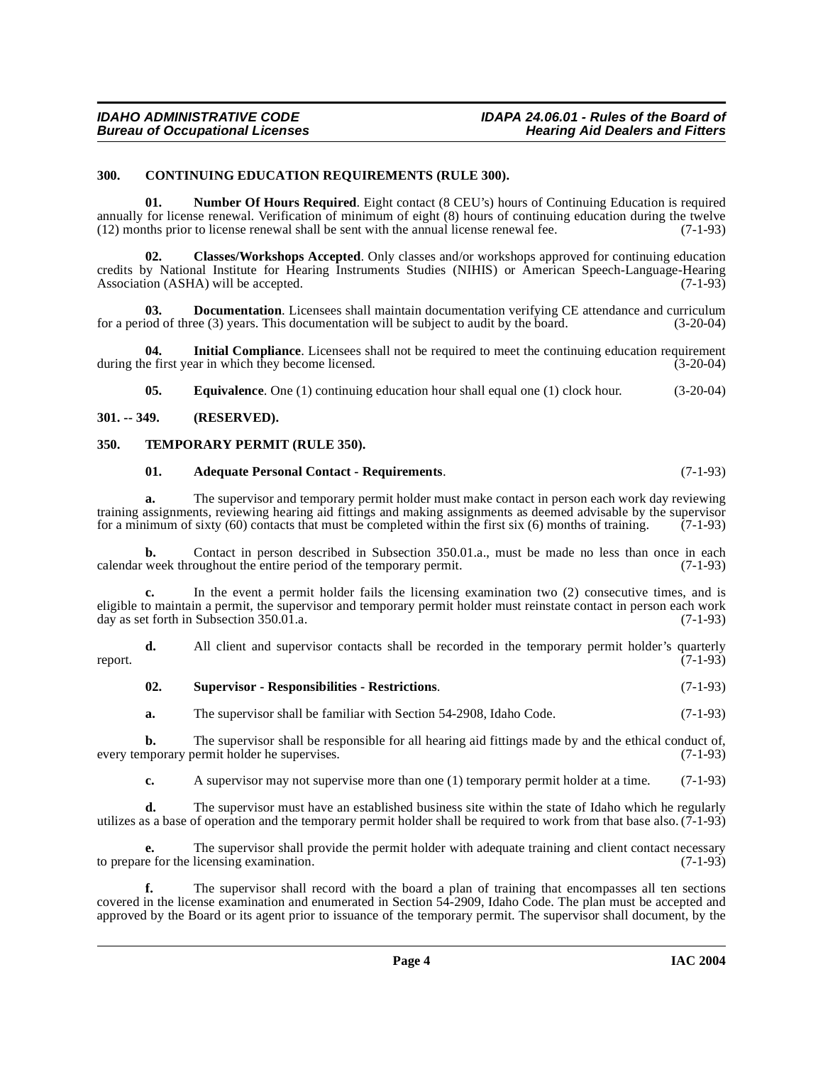#### <span id="page-3-5"></span><span id="page-3-0"></span>**300. CONTINUING EDUCATION REQUIREMENTS (RULE 300).**

<span id="page-3-7"></span>**01. Number Of Hours Required**. Eight contact (8 CEU's) hours of Continuing Education is required annually for license renewal. Verification of minimum of eight (8) hours of continuing education during the twelve (12) months prior to license renewal shall be sent with the annual license renewal fee. (7-1-93)

<span id="page-3-4"></span>**02. Classes/Workshops Accepted**. Only classes and/or workshops approved for continuing education credits by National Institute for Hearing Instruments Studies (NIHIS) or American Speech-Language-Hearing Association (ASHA) will be accepted.  $(7-1-93)$ 

**03. Documentation**. Licensees shall maintain documentation verifying CE attendance and curriculum iod of three (3) years. This documentation will be subject to audit by the board. (3-20-04) for a period of three  $(3)$  years. This documentation will be subject to audit by the board.

**04.** Initial Compliance. Licensees shall not be required to meet the continuing education requirement is effirst year in which they become licensed. during the first year in which they become licensed.

<span id="page-3-6"></span>**05. Equivalence**. One (1) continuing education hour shall equal one (1) clock hour. (3-20-04)

#### <span id="page-3-1"></span>**301. -- 349. (RESERVED).**

#### <span id="page-3-2"></span>**350. TEMPORARY PERMIT (RULE 350).**

#### <span id="page-3-9"></span><span id="page-3-3"></span>**01. Adequate Personal Contact - Requirements**. (7-1-93)

**a.** The supervisor and temporary permit holder must make contact in person each work day reviewing training assignments, reviewing hearing aid fittings and making assignments as deemed advisable by the supervisor for a minimum of sixty (60) contacts that must be completed within the first six (6) months of training.  $(7-1-93)$ 

**b.** Contact in person described in Subsection 350.01.a., must be made no less than once in each week throughout the entire period of the temporary permit. (7-1-93) calendar week throughout the entire period of the temporary permit.

**c.** In the event a permit holder fails the licensing examination two (2) consecutive times, and is eligible to maintain a permit, the supervisor and temporary permit holder must reinstate contact in person each work day as set forth in Subsection 350.01.a. (7-1-93)

**d.** All client and supervisor contacts shall be recorded in the temporary permit holder's quarterly (7-1-93) report. (7-1-93)

<span id="page-3-8"></span>

| 02. | <b>Supervisor - Responsibilities - Restrictions.</b> | $(7-1-93)$ |
|-----|------------------------------------------------------|------------|
|-----|------------------------------------------------------|------------|

**a.** The supervisor shall be familiar with Section 54-2908, Idaho Code. (7-1-93)

**b.** The supervisor shall be responsible for all hearing aid fittings made by and the ethical conduct of, nporary permit holder he supervises. (7-1-93) every temporary permit holder he supervises.

**c.** A supervisor may not supervise more than one (1) temporary permit holder at a time. (7-1-93)

**d.** The supervisor must have an established business site within the state of Idaho which he regularly utilizes as a base of operation and the temporary permit holder shall be required to work from that base also.  $(7-1-93)$ 

**e.** The supervisor shall provide the permit holder with adequate training and client contact necessary to prepare for the licensing examination. (7-1-93)

**f.** The supervisor shall record with the board a plan of training that encompasses all ten sections covered in the license examination and enumerated in Section 54-2909, Idaho Code. The plan must be accepted and approved by the Board or its agent prior to issuance of the temporary permit. The supervisor shall document, by the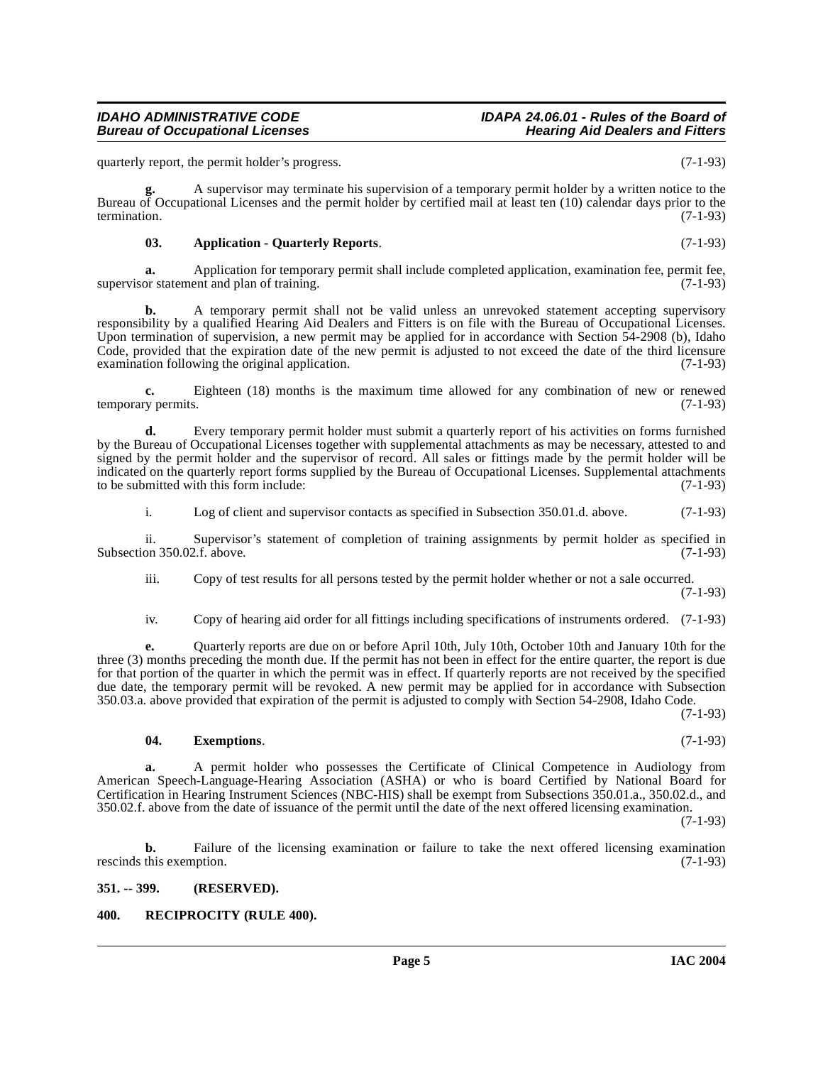quarterly report, the permit holder's progress. (7-1-93)

**Bureau of Occupational Licenses** 

**g.** A supervisor may terminate his supervision of a temporary permit holder by a written notice to the Bureau of Occupational Licenses and the permit holder by certified mail at least ten (10) calendar days prior to the termination. (7-1-93) termination. (7-1-93)

#### <span id="page-4-2"></span>**03. Application - Quarterly Reports**. (7-1-93)

**a.** Application for temporary permit shall include completed application, examination fee, permit fee, supervisor statement and plan of training. (7-1-93)

**b.** A temporary permit shall not be valid unless an unrevoked statement accepting supervisory responsibility by a qualified Hearing Aid Dealers and Fitters is on file with the Bureau of Occupational Licenses. Upon termination of supervision, a new permit may be applied for in accordance with Section 54-2908 (b), Idaho Code, provided that the expiration date of the new permit is adjusted to not exceed the date of the third licensure examination following the original application. (7-1-93)

**c.** Eighteen (18) months is the maximum time allowed for any combination of new or renewed temporary permits. (7-1-93)

**d.** Every temporary permit holder must submit a quarterly report of his activities on forms furnished by the Bureau of Occupational Licenses together with supplemental attachments as may be necessary, attested to and signed by the permit holder and the supervisor of record. All sales or fittings made by the permit holder will be indicated on the quarterly report forms supplied by the Bureau of Occupational Licenses. Supplemental attachments to be submitted with this form include: (7-1-93)

i. Log of client and supervisor contacts as specified in Subsection 350.01.d. above. (7-1-93)

ii. Supervisor's statement of completion of training assignments by permit holder as specified in on 350.02.f. above. (7-1-93) Subsection 350.02.f. above.

iii. Copy of test results for all persons tested by the permit holder whether or not a sale occurred. (7-1-93)

iv. Copy of hearing aid order for all fittings including specifications of instruments ordered. (7-1-93)

**e.** Quarterly reports are due on or before April 10th, July 10th, October 10th and January 10th for the three (3) months preceding the month due. If the permit has not been in effect for the entire quarter, the report is due for that portion of the quarter in which the permit was in effect. If quarterly reports are not received by the specified due date, the temporary permit will be revoked. A new permit may be applied for in accordance with Subsection 350.03.a. above provided that expiration of the permit is adjusted to comply with Section 54-2908, Idaho Code.

(7-1-93)

#### <span id="page-4-3"></span>**04. Exemptions**. (7-1-93)

**a.** A permit holder who possesses the Certificate of Clinical Competence in Audiology from American Speech-Language-Hearing Association (ASHA) or who is board Certified by National Board for Certification in Hearing Instrument Sciences (NBC-HIS) shall be exempt from Subsections 350.01.a., 350.02.d., and 350.02.f. above from the date of issuance of the permit until the date of the next offered licensing examination.

(7-1-93)

**b.** Failure of the licensing examination or failure to take the next offered licensing examination rescinds this exemption. (7-1-93)

#### <span id="page-4-0"></span>**351. -- 399. (RESERVED).**

#### <span id="page-4-4"></span><span id="page-4-1"></span>**400. RECIPROCITY (RULE 400).**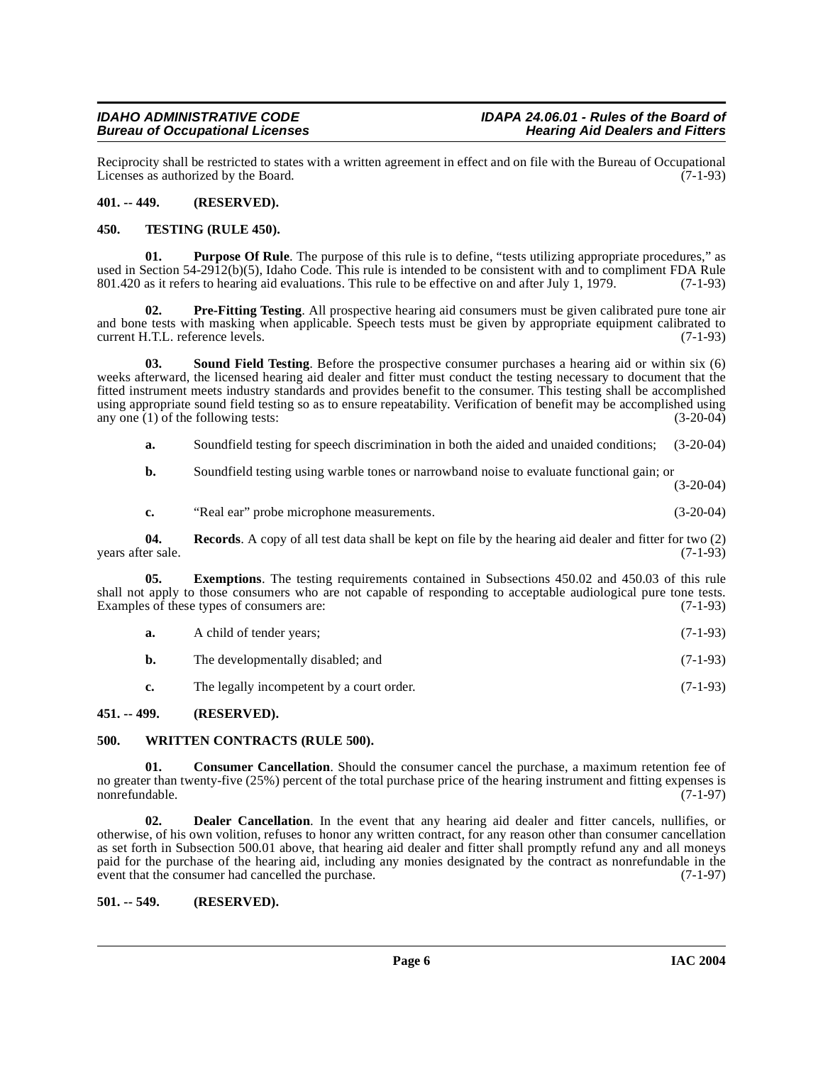### **Bureau of Occupational Licenses**

Reciprocity shall be restricted to states with a written agreement in effect and on file with the Bureau of Occupational<br>Licenses as authorized by the Board. (7-1-93) Licenses as authorized by the Board.

#### <span id="page-5-0"></span>**401. -- 449. (RESERVED).**

#### <span id="page-5-9"></span><span id="page-5-1"></span>**450. TESTING (RULE 450).**

**01.** Purpose Of Rule. The purpose of this rule is to define, "tests utilizing appropriate procedures," as used in Section 54-2912(b)(5), Idaho Code. This rule is intended to be consistent with and to compliment FDA Rule 801.420 as it refers to hearing aid evaluations. This rule to be effective on and after July 1, 1979. (7-1-93)

<span id="page-5-7"></span>**Pre-Fitting Testing**. All prospective hearing aid consumers must be given calibrated pure tone air and bone tests with masking when applicable. Speech tests must be given by appropriate equipment calibrated to current H.T.L. reference levels. (7-1-93)

<span id="page-5-8"></span>**03. Sound Field Testing**. Before the prospective consumer purchases a hearing aid or within six (6) weeks afterward, the licensed hearing aid dealer and fitter must conduct the testing necessary to document that the fitted instrument meets industry standards and provides benefit to the consumer. This testing shall be accomplished using appropriate sound field testing so as to ensure repeatability. Verification of benefit may be accomplished using any one (1) of the following tests: (3-20-04)

**a.** Soundfield testing for speech discrimination in both the aided and unaided conditions; (3-20-04)

**b.** Soundfield testing using warble tones or narrowband noise to evaluate functional gain; or (3-20-04)

**c.** "Real ear" probe microphone measurements. (3-20-04)

**04. Records**. A copy of all test data shall be kept on file by the hearing aid dealer and fitter for two (2) years after sale.

**05. Exemptions**. The testing requirements contained in Subsections 450.02 and 450.03 of this rule shall not apply to those consumers who are not capable of responding to acceptable audiological pure tone tests. Examples of these types of consumers are: (7-1-93)

- **a.** A child of tender years; (7-1-93)
- **b.** The developmentally disabled; and (7-1-93)
- <span id="page-5-10"></span><span id="page-5-5"></span>**c.** The legally incompetent by a court order. (7-1-93)

#### <span id="page-5-2"></span>**451. -- 499. (RESERVED).**

#### <span id="page-5-3"></span>**500. WRITTEN CONTRACTS (RULE 500).**

**01. Consumer Cancellation**. Should the consumer cancel the purchase, a maximum retention fee of no greater than twenty-five (25%) percent of the total purchase price of the hearing instrument and fitting expenses is nonrefundable. (7-1-97)

<span id="page-5-6"></span>**02. Dealer Cancellation**. In the event that any hearing aid dealer and fitter cancels, nullifies, or otherwise, of his own volition, refuses to honor any written contract, for any reason other than consumer cancellation as set forth in Subsection 500.01 above, that hearing aid dealer and fitter shall promptly refund any and all moneys paid for the purchase of the hearing aid, including any monies designated by the contract as nonrefundable in the event that the consumer had cancelled the purchase. (7-1-97)

#### <span id="page-5-4"></span>**501. -- 549. (RESERVED).**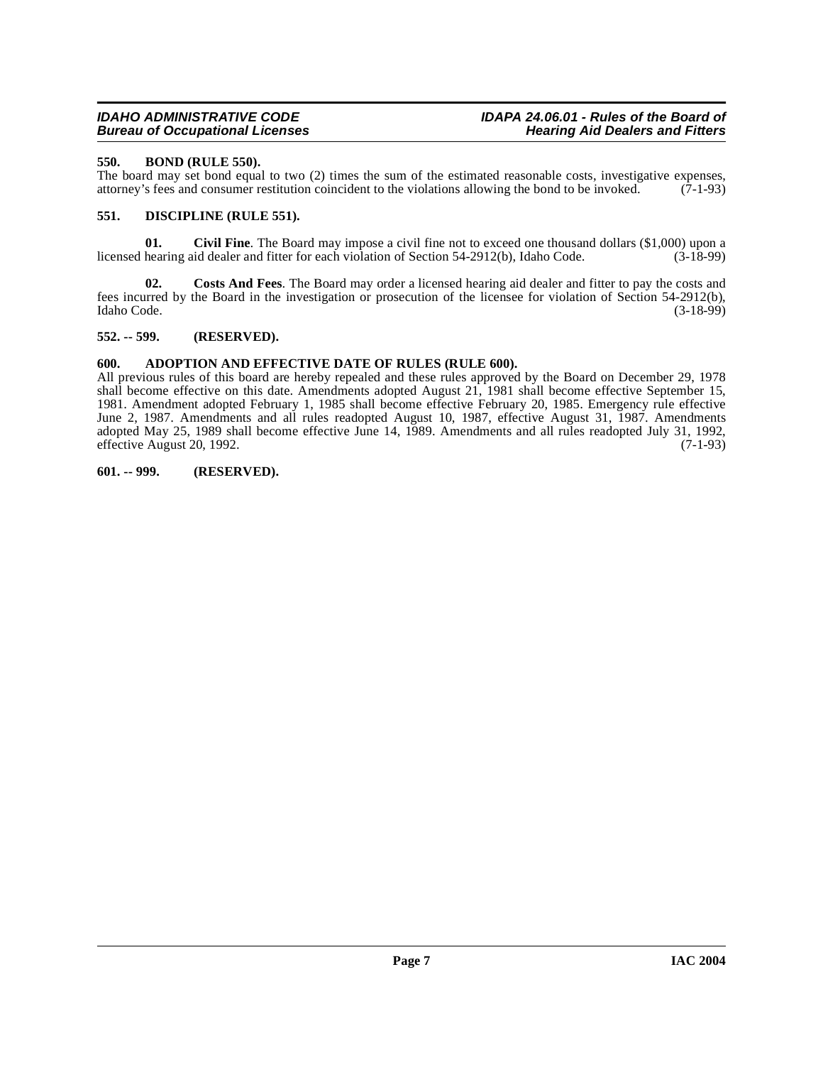### **Bureau of Occupational Licenses**

#### <span id="page-6-5"></span><span id="page-6-0"></span>**550. BOND (RULE 550).**

The board may set bond equal to two  $(2)$  times the sum of the estimated reasonable costs, investigative expenses, attorney's fees and consumer restitution coincident to the violations allowing the bond to be invoked.  $(7$ attorney's fees and consumer restitution coincident to the violations allowing the bond to be invoked.

#### <span id="page-6-7"></span><span id="page-6-1"></span>**551. DISCIPLINE (RULE 551).**

<span id="page-6-6"></span>**01.** Civil Fine. The Board may impose a civil fine not to exceed one thousand dollars (\$1,000) upon a hearing aid dealer and fitter for each violation of Section 54-2912(b), Idaho Code. (3-18-99) licensed hearing aid dealer and fitter for each violation of Section 54-2912(b), Idaho Code.

**02. Costs And Fees**. The Board may order a licensed hearing aid dealer and fitter to pay the costs and fees incurred by the Board in the investigation or prosecution of the licensee for violation of Section 54-2912(b), Idaho Code. (3-18-99)

#### <span id="page-6-2"></span>**552. -- 599. (RESERVED).**

#### <span id="page-6-3"></span>**600. ADOPTION AND EFFECTIVE DATE OF RULES (RULE 600).**

All previous rules of this board are hereby repealed and these rules approved by the Board on December 29, 1978 shall become effective on this date. Amendments adopted August 21, 1981 shall become effective September 15, 1981. Amendment adopted February 1, 1985 shall become effective February 20, 1985. Emergency rule effective June 2, 1987. Amendments and all rules readopted August 10, 1987, effective August 31, 1987. Amendments adopted May 25, 1989 shall become effective June 14, 1989. Amendments and all rules readopted July 31, 1992, effective August 20, 1992. effective August 20, 1992.

#### <span id="page-6-4"></span>**601. -- 999. (RESERVED).**